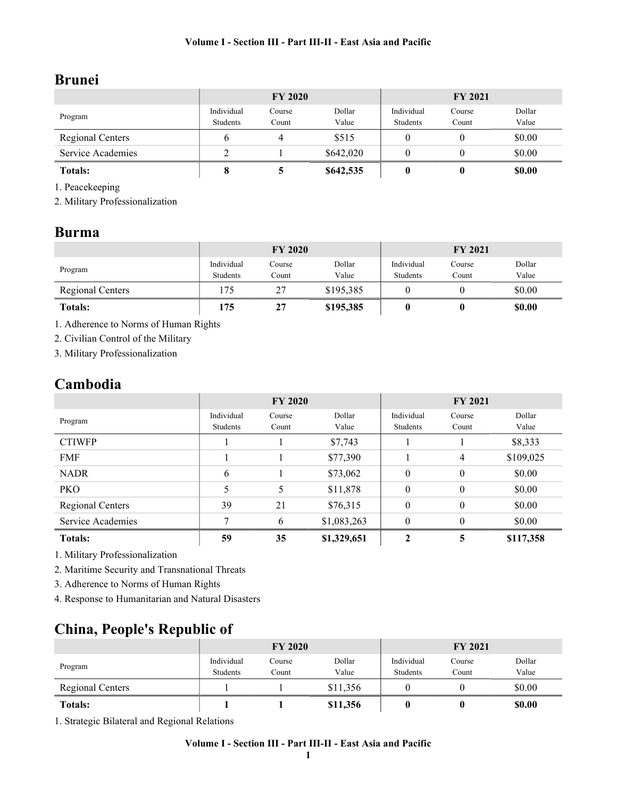# Brunei

|                   | <b>FY 2020</b>         |                 |                 | <b>FY 2021</b>         |                 |                 |
|-------------------|------------------------|-----------------|-----------------|------------------------|-----------------|-----------------|
| Program           | Individual<br>Students | Course<br>Count | Dollar<br>Value | Individual<br>Students | Course<br>Count | Dollar<br>Value |
| Regional Centers  |                        |                 | \$515           |                        |                 | \$0.00          |
| Service Academies |                        |                 | \$642,020       |                        |                 | \$0.00          |
| <b>Totals:</b>    |                        |                 | \$642,535       |                        |                 | \$0.00          |

1. Peacekeeping

2. Military Professionalization

### Burma

|                  | <b>FY 2020</b>         |                 |                 | <b>FY 2021</b>         |                 |                 |
|------------------|------------------------|-----------------|-----------------|------------------------|-----------------|-----------------|
| Program          | Individual<br>Students | Course<br>Count | Dollar<br>Value | Individual<br>Students | Course<br>Count | Dollar<br>Value |
| Regional Centers | 175                    | 27              | \$195,385       |                        |                 | \$0.00          |
| <b>Totals:</b>   | 175                    | 27              | \$195,385       |                        |                 | \$0.00          |

1. Adherence to Norms of Human Rights

2. Civilian Control of the Military

3. Military Professionalization

## Cambodia

|                         | <b>FY 2020</b>         |                 |                 | <b>FY 2021</b>         |                 |                 |
|-------------------------|------------------------|-----------------|-----------------|------------------------|-----------------|-----------------|
| Program                 | Individual<br>Students | Course<br>Count | Dollar<br>Value | Individual<br>Students | Course<br>Count | Dollar<br>Value |
| <b>CTIWFP</b>           |                        |                 |                 |                        |                 |                 |
|                         |                        |                 | \$7,743         |                        |                 | \$8,333         |
| <b>FMF</b>              |                        |                 | \$77,390        |                        | $\overline{4}$  | \$109,025       |
| <b>NADR</b>             | 6                      |                 | \$73,062        | $\theta$               | $\theta$        | \$0.00          |
| <b>PKO</b>              |                        | 5               | \$11,878        | $\boldsymbol{0}$       | $\theta$        | \$0.00          |
| <b>Regional Centers</b> | 39                     | 21              | \$76,315        | $\theta$               | $\theta$        | \$0.00          |
| Service Academies       | 7                      | 6               | \$1,083,263     | $\theta$               | $\theta$        | \$0.00          |
| <b>Totals:</b>          | 59                     | 35              | \$1,329,651     | 2                      | 5               | \$117,358       |

1. Military Professionalization

2. Maritime Security and Transnational Threats

3. Adherence to Norms of Human Rights

4. Response to Humanitarian and Natural Disasters

# China, People's Republic of

|                         | <b>FY 2020</b>         |                 |                 | <b>FY 2021</b>         |                 |                 |
|-------------------------|------------------------|-----------------|-----------------|------------------------|-----------------|-----------------|
| Program                 | Individual<br>Students | Course<br>Count | Dollar<br>Value | Individual<br>Students | Course<br>Count | Dollar<br>Value |
| <b>Regional Centers</b> |                        |                 | \$11,356        |                        |                 | \$0.00          |
| <b>Totals:</b>          |                        |                 | \$11,356        | 0                      |                 | \$0.00          |

1. Strategic Bilateral and Regional Relations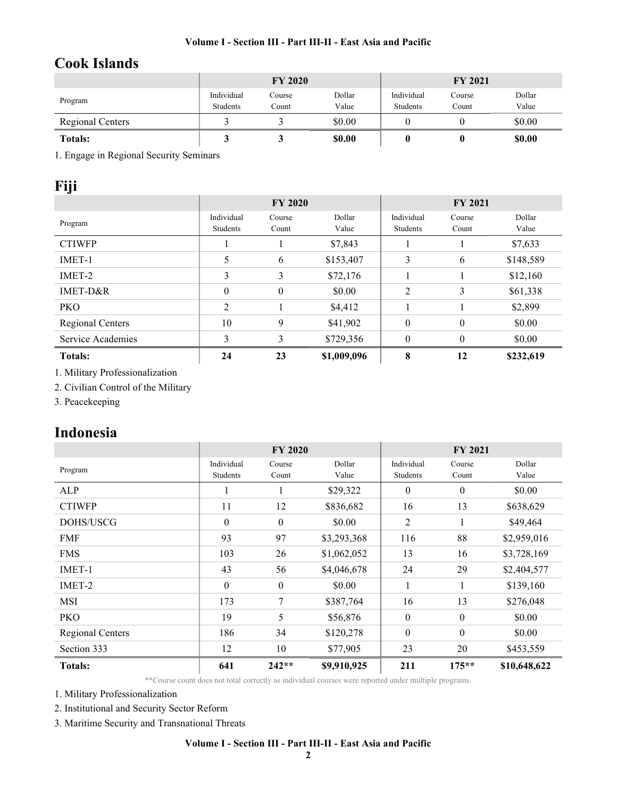## Cook Islands

|                         |                        | <b>FY 2020</b>  |                 | <b>FY 2021</b>         |                 |                 |
|-------------------------|------------------------|-----------------|-----------------|------------------------|-----------------|-----------------|
| Program                 | Individual<br>Students | Course<br>Count | Dollar<br>Value | Individual<br>Students | Course<br>Count | Dollar<br>Value |
| <b>Regional Centers</b> |                        |                 | \$0.00          |                        |                 | \$0.00          |
| <b>Totals:</b>          |                        |                 | \$0.00          |                        |                 | \$0.00          |

1. Engage in Regional Security Seminars

## Fiji

|                   | <b>FY 2020</b>         |                  |                 | <b>FY 2021</b>         |                  |                 |
|-------------------|------------------------|------------------|-----------------|------------------------|------------------|-----------------|
| Program           | Individual<br>Students | Course<br>Count  | Dollar<br>Value | Individual<br>Students | Course<br>Count  | Dollar<br>Value |
| <b>CTIWFP</b>     |                        |                  | \$7,843         |                        |                  | \$7,633         |
| IMET-1            | 5                      | 6                | \$153,407       | 3                      | 6                | \$148,589       |
| IMET-2            | 3                      | 3                | \$72,176        |                        |                  | \$12,160        |
| $IMET-D&R$        | $\theta$               | $\boldsymbol{0}$ | \$0.00          | 2                      | 3                | \$61,338        |
| <b>PKO</b>        | 2                      |                  | \$4,412         |                        |                  | \$2,899         |
| Regional Centers  | 10                     | 9                | \$41,902        | $\mathbf{0}$           | $\boldsymbol{0}$ | \$0.00          |
| Service Academies | 3                      | 3                | \$729,356       | $\theta$               | $\theta$         | \$0.00          |
| <b>Totals:</b>    | 24                     | 23               | \$1,009,096     | 8                      | 12               | \$232,619       |

1. Military Professionalization

2. Civilian Control of the Military

3. Peacekeeping

## Indonesia

|                  | <b>FY 2020</b>   |                  |             | <b>FY 2021</b>   |                  |              |
|------------------|------------------|------------------|-------------|------------------|------------------|--------------|
| Program          | Individual       | Course           | Dollar      | Individual       | Course           | Dollar       |
|                  | Students         | Count            | Value       | Students         | Count            | Value        |
| <b>ALP</b>       |                  |                  | \$29,322    | $\mathbf{0}$     | $\mathbf{0}$     | \$0.00       |
| <b>CTIWFP</b>    | 11               | 12               | \$836,682   | 16               | 13               | \$638,629    |
| DOHS/USCG        | $\boldsymbol{0}$ | $\boldsymbol{0}$ | \$0.00      | 2                | 1                | \$49,464     |
| <b>FMF</b>       | 93               | 97               | \$3,293,368 | 116              | 88               | \$2,959,016  |
| <b>FMS</b>       | 103              | 26               | \$1,062,052 | 13               | 16               | \$3,728,169  |
| IMET-1           | 43               | 56               | \$4,046,678 | 24               | 29               | \$2,404,577  |
| IMET-2           | $\theta$         | $\boldsymbol{0}$ | \$0.00      | 1                | 1                | \$139,160    |
| MSI              | 173              | 7                | \$387,764   | 16               | 13               | \$276,048    |
| PKO              | 19               | 5                | \$56,876    | $\boldsymbol{0}$ | $\boldsymbol{0}$ | \$0.00       |
| Regional Centers | 186              | 34               | \$120,278   | $\theta$         | $\theta$         | \$0.00       |
| Section 333      | 12               | 10               | \$77,905    | 23               | 20               | \$453,559    |
| <b>Totals:</b>   | 641              | $242**$          | \$9,910,925 | 211              | $175***$         | \$10,648,622 |

\*\*Course count does not total correctly as individual courses were reported under multiple programs.

1. Military Professionalization

2. Institutional and Security Sector Reform

3. Maritime Security and Transnational Threats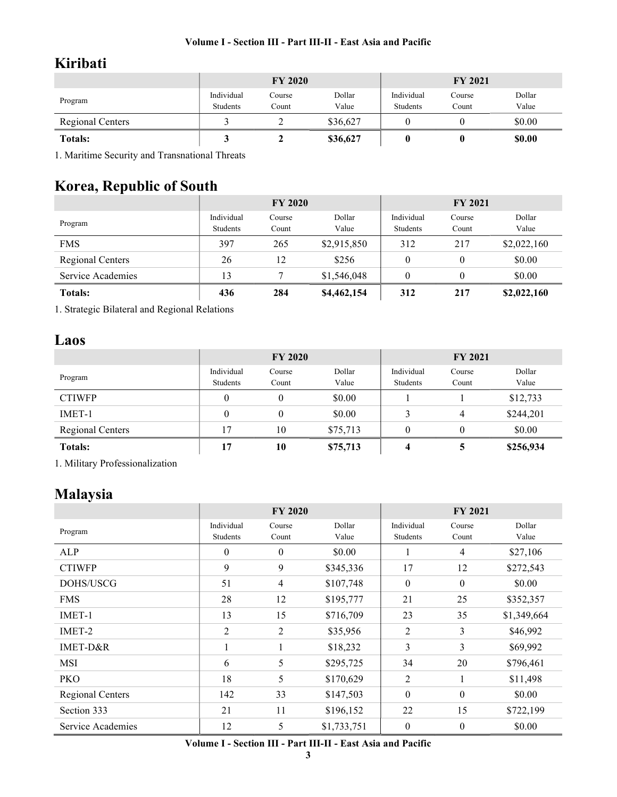# Kiribati

|                  |                        | <b>FY 2020</b>  |                 | <b>FY 2021</b>         |                 |                 |
|------------------|------------------------|-----------------|-----------------|------------------------|-----------------|-----------------|
| Program          | Individual<br>Students | Course<br>Count | Dollar<br>Value | Individual<br>Students | Course<br>Count | Dollar<br>Value |
| Regional Centers |                        |                 | \$36,627        |                        |                 | \$0.00          |
| <b>Totals:</b>   |                        |                 | \$36,627        |                        |                 | \$0.00          |

1. Maritime Security and Transnational Threats

# Korea, Republic of South

|                   |                        | <b>FY 2020</b>  |                 | <b>FY 2021</b>         |                 |                 |
|-------------------|------------------------|-----------------|-----------------|------------------------|-----------------|-----------------|
| Program           | Individual<br>Students | Course<br>Count | Dollar<br>Value | Individual<br>Students | Course<br>Count | Dollar<br>Value |
| <b>FMS</b>        | 397                    | 265             | \$2,915,850     | 312                    | 217             | \$2,022,160     |
| Regional Centers  | 26                     | 12              | \$256           | $\theta$               | $\theta$        | \$0.00          |
| Service Academies | 13                     |                 | \$1,546,048     | 0                      | 0               | \$0.00          |
| <b>Totals:</b>    | 436                    | 284             | \$4,462,154     | 312                    | 217             | \$2,022,160     |

1. Strategic Bilateral and Regional Relations

## Laos

|                         |            | <b>FY 2020</b> |          | <b>FY 2021</b> |          |           |
|-------------------------|------------|----------------|----------|----------------|----------|-----------|
| Program                 | Individual | Course         | Dollar   | Individual     | Course   | Dollar    |
|                         | Students   | Count          | Value    | Students       | Count    | Value     |
| <b>CTIWFP</b>           | $\theta$   |                | \$0.00   |                |          | \$12,733  |
| IMET-1                  | $\theta$   |                | \$0.00   | 3              | 4        | \$244,201 |
| <b>Regional Centers</b> | 17         | 10             | \$75,713 | $\theta$       | $\theta$ | \$0.00    |
| <b>Totals:</b>          | 17         | 10             | \$75,713 |                | 5        | \$256,934 |

1. Military Professionalization

## Malaysia

|                   |            | <b>FY 2020</b> |             | <b>FY 2021</b> |                  |             |
|-------------------|------------|----------------|-------------|----------------|------------------|-------------|
| Program           | Individual | Course         | Dollar      | Individual     | Course           | Dollar      |
|                   | Students   | Count          | Value       | Students       | Count            | Value       |
| ALP               | $\theta$   | $\theta$       | \$0.00      |                | $\overline{4}$   | \$27,106    |
| <b>CTIWFP</b>     | 9          | 9              | \$345,336   | 17             | 12               | \$272,543   |
| DOHS/USCG         | 51         | $\overline{4}$ | \$107,748   | $\theta$       | $\theta$         | \$0.00      |
| <b>FMS</b>        | 28         | 12             | \$195,777   | 21             | 25               | \$352,357   |
| IMET-1            | 13         | 15             | \$716,709   | 23             | 35               | \$1,349,664 |
| IMET-2            | 2          | 2              | \$35,956    | 2              | 3                | \$46,992    |
| IMET-D&R          |            |                | \$18,232    | 3              | 3                | \$69,992    |
| MSI               | 6          | 5              | \$295,725   | 34             | 20               | \$796,461   |
| <b>PKO</b>        | 18         | 5              | \$170,629   | $\overline{2}$ | 1                | \$11,498    |
| Regional Centers  | 142        | 33             | \$147,503   | $\mathbf{0}$   | $\boldsymbol{0}$ | \$0.00      |
| Section 333       | 21         | 11             | \$196,152   | 22             | 15               | \$722,199   |
| Service Academies | 12         | 5              | \$1,733,751 | $\mathbf{0}$   | $\mathbf{0}$     | \$0.00      |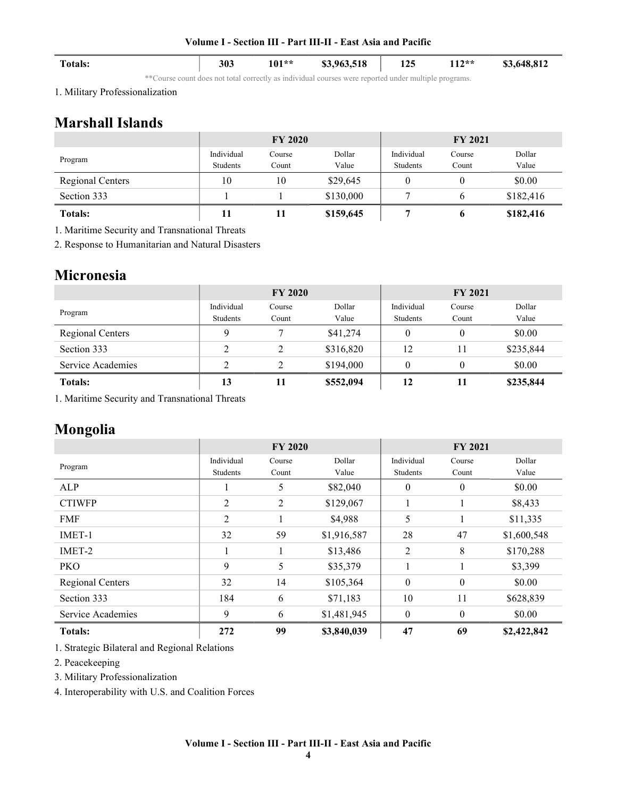| <b>Totals:</b> | 303 | $101**$ | \$3,963,518 | 125 | 117**<br>114 | \$3,648,812 |
|----------------|-----|---------|-------------|-----|--------------|-------------|

\*\*Course count does not total correctly as individual courses were reported under multiple programs.

1. Military Professionalization

## Marshall Islands

|                  |                        | <b>FY 2020</b>  |                 |                        | <b>FY 2021</b>  |                 |
|------------------|------------------------|-----------------|-----------------|------------------------|-----------------|-----------------|
| Program          | Individual<br>Students | Course<br>Count | Dollar<br>Value | Individual<br>Students | Course<br>Count | Dollar<br>Value |
| Regional Centers | 10                     | 10              | \$29,645        |                        |                 | \$0.00          |
| Section 333      |                        |                 | \$130,000       |                        | 6               | \$182,416       |
| <b>Totals:</b>   | 11                     | 11              | \$159,645       |                        | 6               | \$182,416       |

1. Maritime Security and Transnational Threats

2. Response to Humanitarian and Natural Disasters

## Micronesia

|                   |            | <b>FY 2020</b> |           |            | <b>FY 2021</b> |           |
|-------------------|------------|----------------|-----------|------------|----------------|-----------|
| Program           | Individual | Course         | Dollar    | Individual | Course         | Dollar    |
|                   | Students   | Count          | Value     | Students   | Count          | Value     |
| Regional Centers  | Q          |                | \$41,274  | 0          | $\theta$       | \$0.00    |
| Section 333       | 2          | 2              | \$316,820 | 12         | 11             | \$235,844 |
| Service Academies | າ          | C              | \$194,000 |            | 0              | \$0.00    |
| <b>Totals:</b>    | 13         | 11             | \$552,094 | 12         | 11             | \$235,844 |

1. Maritime Security and Transnational Threats

## Mongolia

|                   |                        | <b>FY 2020</b>  |                 |                        | <b>FY 2021</b>   |                 |
|-------------------|------------------------|-----------------|-----------------|------------------------|------------------|-----------------|
| Program           | Individual<br>Students | Course<br>Count | Dollar<br>Value | Individual<br>Students | Course<br>Count  | Dollar<br>Value |
| ALP               |                        | 5               | \$82,040        | $\theta$               | $\mathbf{0}$     | \$0.00          |
| <b>CTIWFP</b>     | 2                      | 2               | \$129,067       |                        |                  | \$8,433         |
| <b>FMF</b>        | 2                      |                 | \$4,988         | 5                      |                  | \$11,335        |
| IMET-1            | 32                     | 59              | \$1,916,587     | 28                     | 47               | \$1,600,548     |
| IMET-2            |                        |                 | \$13,486        | 2                      | 8                | \$170,288       |
| PKO               | 9                      | 5               | \$35,379        |                        |                  | \$3,399         |
| Regional Centers  | 32                     | 14              | \$105,364       | $\theta$               | $\boldsymbol{0}$ | \$0.00          |
| Section 333       | 184                    | 6               | \$71,183        | 10                     | 11               | \$628,839       |
| Service Academies | 9                      | 6               | \$1,481,945     | $\theta$               | $\Omega$         | \$0.00          |
| <b>Totals:</b>    | 272                    | 99              | \$3,840,039     | 47                     | 69               | \$2,422,842     |

1. Strategic Bilateral and Regional Relations

2. Peacekeeping

3. Military Professionalization

4. Interoperability with U.S. and Coalition Forces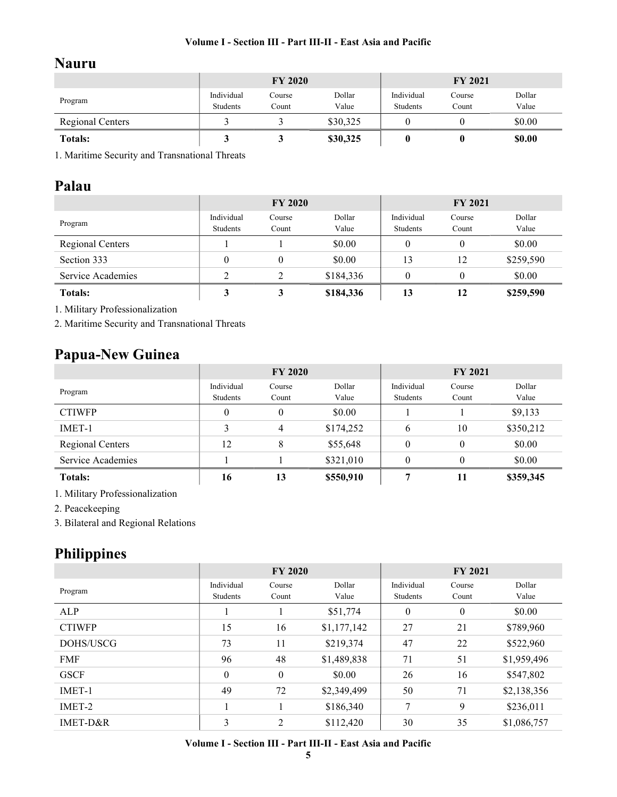## Nauru

|                  |                        | <b>FY 2020</b>  |                 |                        | <b>FY 2021</b>  |                 |
|------------------|------------------------|-----------------|-----------------|------------------------|-----------------|-----------------|
| Program          | Individual<br>Students | Course<br>Count | Dollar<br>Value | Individual<br>Students | Course<br>Count | Dollar<br>Value |
| Regional Centers |                        |                 | \$30,325        |                        |                 | \$0.00          |
| <b>Totals:</b>   |                        |                 | \$30,325        |                        |                 | \$0.00          |

1. Maritime Security and Transnational Threats

## Palau

|                         |                        | <b>FY 2020</b>  |                 |                        | <b>FY 2021</b>  |                 |
|-------------------------|------------------------|-----------------|-----------------|------------------------|-----------------|-----------------|
| Program                 | Individual<br>Students | Course<br>Count | Dollar<br>Value | Individual<br>Students | Course<br>Count | Dollar<br>Value |
| <b>Regional Centers</b> |                        |                 | \$0.00          | 0                      | $\theta$        | \$0.00          |
| Section 333             |                        |                 | \$0.00          | 13                     | 12              | \$259,590       |
| Service Academies       | ↑                      |                 | \$184,336       | $\theta$               | $\theta$        | \$0.00          |
| <b>Totals:</b>          |                        | 3               | \$184,336       | 13                     | 12              | \$259,590       |

1. Military Professionalization

2. Maritime Security and Transnational Threats

## Papua-New Guinea

|                   |                        | <b>FY 2020</b>  |                 |                        | <b>FY 2021</b>  |                 |
|-------------------|------------------------|-----------------|-----------------|------------------------|-----------------|-----------------|
| Program           | Individual<br>Students | Course<br>Count | Dollar<br>Value | Individual<br>Students | Course<br>Count | Dollar<br>Value |
| <b>CTIWFP</b>     | $\theta$               | $\theta$        | \$0.00          |                        |                 | \$9,133         |
| IMET-1            | 3                      | 4               | \$174,252       | 6                      | 10              | \$350,212       |
| Regional Centers  | 12                     | 8               | \$55,648        | $\theta$               | $\theta$        | \$0.00          |
| Service Academies |                        |                 | \$321,010       | $\theta$               | $\theta$        | \$0.00          |
| <b>Totals:</b>    | 16                     | 13              | \$550,910       | 7                      | 11              | \$359,345       |

1. Military Professionalization

2. Peacekeeping

3. Bilateral and Regional Relations

# Philippines

|               |                        | <b>FY 2020</b>   |                 |                        | <b>FY 2021</b>   |                 |
|---------------|------------------------|------------------|-----------------|------------------------|------------------|-----------------|
| Program       | Individual<br>Students | Course<br>Count  | Dollar<br>Value | Individual<br>Students | Course<br>Count  | Dollar<br>Value |
| ALP           |                        |                  | \$51,774        | $\mathbf{0}$           | $\boldsymbol{0}$ | \$0.00          |
| <b>CTIWFP</b> | 15                     | 16               | \$1,177,142     | 27                     | 21               | \$789,960       |
| DOHS/USCG     | 73                     | 11               | \$219,374       | 47                     | 22               | \$522,960       |
| <b>FMF</b>    | 96                     | 48               | \$1,489,838     | 71                     | 51               | \$1,959,496     |
| <b>GSCF</b>   | $\mathbf{0}$           | $\boldsymbol{0}$ | \$0.00          | 26                     | 16               | \$547,802       |
| IMET-1        | 49                     | 72               | \$2,349,499     | 50                     | 71               | \$2,138,356     |
| IMET-2        |                        |                  | \$186,340       | 7                      | 9                | \$236,011       |
| IMET-D&R      | 3                      | 2                | \$112,420       | 30                     | 35               | \$1,086,757     |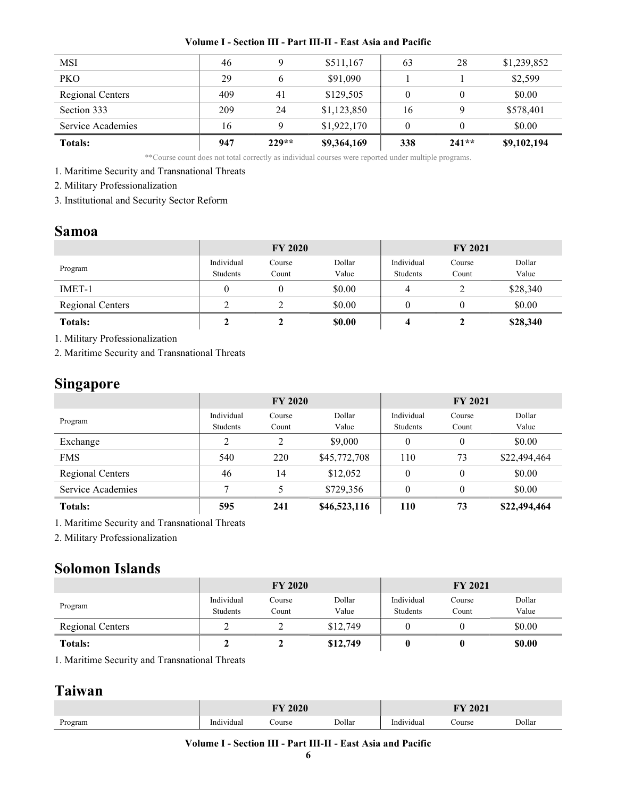| <b>Totals:</b>    | 947 | $229**$ | \$9,364,169 | 338 | $241**$ | \$9,102,194 |
|-------------------|-----|---------|-------------|-----|---------|-------------|
| Service Academies | 16  |         | \$1,922,170 |     |         | \$0.00      |
| Section 333       | 209 | 24      | \$1,123,850 | 16  | Q       | \$578,401   |
| Regional Centers  | 409 | 41      | \$129,505   | 0   |         | \$0.00      |
| <b>PKO</b>        | 29  |         | \$91,090    |     |         | \$2,599     |
| MSI               | 46  |         | \$511,167   | 63  | 28      | \$1,239,852 |
|                   |     |         |             |     |         |             |

\*\*Course count does not total correctly as individual courses were reported under multiple programs.

1. Maritime Security and Transnational Threats

2. Military Professionalization

3. Institutional and Security Sector Reform

### Samoa

|                  |                        | <b>FY 2020</b>  |                 |                        | <b>FY 2021</b>  |                 |
|------------------|------------------------|-----------------|-----------------|------------------------|-----------------|-----------------|
| Program          | Individual<br>Students | Course<br>Count | Dollar<br>Value | Individual<br>Students | Course<br>Count | Dollar<br>Value |
| IMET-1           |                        |                 | \$0.00          |                        |                 | \$28,340        |
| Regional Centers |                        |                 | \$0.00          |                        |                 | \$0.00          |
| <b>Totals:</b>   |                        |                 | \$0.00          |                        |                 | \$28,340        |

1. Military Professionalization

2. Maritime Security and Transnational Threats

## Singapore

|                   |            | <b>FY 2020</b> |              |            | <b>FY 2021</b>   |              |
|-------------------|------------|----------------|--------------|------------|------------------|--------------|
| Program           | Individual | Course         | Dollar       | Individual | Course           | Dollar       |
|                   | Students   | Count          | Value        | Students   | Count            | Value        |
| Exchange          | C          | C              | \$9,000      | $\theta$   | $\boldsymbol{0}$ | \$0.00       |
| <b>FMS</b>        | 540        | 220            | \$45,772,708 | 110        | 73               | \$22,494,464 |
| Regional Centers  | 46         | 14             | \$12,052     | $\theta$   | $\theta$         | \$0.00       |
| Service Academies | 7          |                | \$729,356    | $\theta$   | $\theta$         | \$0.00       |
| <b>Totals:</b>    | 595        | 241            | \$46,523,116 | 110        | 73               | \$22,494,464 |

1. Maritime Security and Transnational Threats

2. Military Professionalization

## Solomon Islands

|                         |                        | <b>FY 2020</b>  |                 |                        | <b>FY 2021</b>  |                 |
|-------------------------|------------------------|-----------------|-----------------|------------------------|-----------------|-----------------|
| Program                 | Individual<br>Students | Course<br>Count | Dollar<br>Value | Individual<br>Students | Course<br>Count | Dollar<br>Value |
| <b>Regional Centers</b> |                        |                 | \$12,749        |                        |                 | \$0.00          |
| <b>Totals:</b>          |                        |                 | \$12,749        |                        |                 | <b>SO.00</b>    |

1. Maritime Security and Transnational Threats

## Taiwan

|                         | $-0$ $-0$  |       |        | AA<br><b>TTK</b><br>404 L |        |        |
|-------------------------|------------|-------|--------|---------------------------|--------|--------|
| $\mathbf{r}$<br>Program | Individual | ourse | Dollar | Individual                | course | Dollar |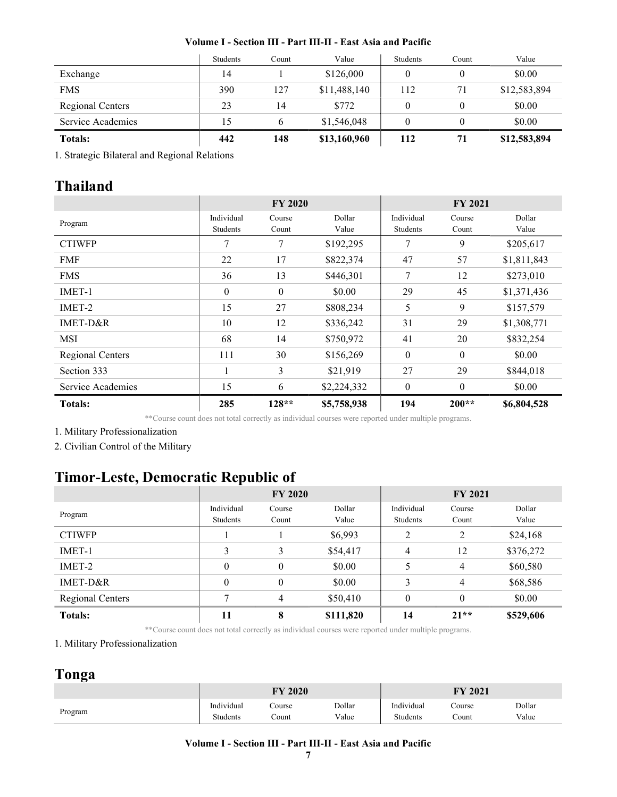|                   | <b>Students</b> | Count | Value        | <b>Students</b> | Count | Value        |
|-------------------|-----------------|-------|--------------|-----------------|-------|--------------|
| Exchange          | 14              |       | \$126,000    | $\theta$        | 0     | \$0.00       |
| <b>FMS</b>        | 390             | 127   | \$11,488,140 | 112             | 71    | \$12,583,894 |
| Regional Centers  | 23              | 14    | \$772        | $\theta$        | 0     | \$0.00       |
| Service Academies | 15              |       | \$1,546,048  | $\Omega$        | 0     | \$0.00       |
| <b>Totals:</b>    | 442             | 148   | \$13,160,960 | 112             | 71    | \$12,583,894 |

1. Strategic Bilateral and Regional Relations

# Thailand

|                         |                        | <b>FY 2020</b>  |                 | <b>FY 2021</b>         |                  |                 |
|-------------------------|------------------------|-----------------|-----------------|------------------------|------------------|-----------------|
| Program                 | Individual<br>Students | Course<br>Count | Dollar<br>Value | Individual<br>Students | Course<br>Count  | Dollar<br>Value |
| <b>CTIWFP</b>           | 7                      | 7               | \$192,295       | 7                      | 9                | \$205,617       |
| <b>FMF</b>              | 22                     | 17              | \$822,374       | 47                     | 57               | \$1,811,843     |
| <b>FMS</b>              | 36                     | 13              | \$446,301       | 7                      | 12               | \$273,010       |
| IMET-1                  | $\mathbf{0}$           | $\theta$        | \$0.00          | 29                     | 45               | \$1,371,436     |
| IMET-2                  | 15                     | 27              | \$808,234       | 5                      | 9                | \$157,579       |
| $IMET-D&R$              | 10                     | 12              | \$336,242       | 31                     | 29               | \$1,308,771     |
| <b>MSI</b>              | 68                     | 14              | \$750,972       | 41                     | 20               | \$832,254       |
| <b>Regional Centers</b> | 111                    | 30              | \$156,269       | $\boldsymbol{0}$       | $\boldsymbol{0}$ | \$0.00          |
| Section 333             | $\mathbf{1}$           | 3               | \$21,919        | 27                     | 29               | \$844,018       |
| Service Academies       | 15                     | 6               | \$2,224,332     | $\mathbf{0}$           | $\boldsymbol{0}$ | \$0.00          |
| <b>Totals:</b>          | 285                    | $128**$         | \$5,758,938     | 194                    | $200**$          | \$6,804,528     |

\*\*Course count does not total correctly as individual courses were reported under multiple programs.

1. Military Professionalization

2. Civilian Control of the Military

# Timor-Leste, Democratic Republic of

|                         |            | <b>FY 2020</b> |           | <b>FY 2021</b> |          |           |
|-------------------------|------------|----------------|-----------|----------------|----------|-----------|
| Program                 | Individual | Course         | Dollar    | Individual     | Course   | Dollar    |
|                         | Students   | Count          | Value     | Students       | Count    | Value     |
| <b>CTIWFP</b>           |            |                | \$6,993   | 2              | 2        | \$24,168  |
| IMET-1                  | 3          | 3              | \$54,417  | 4              | 12       | \$376,272 |
| IMET-2                  | $\theta$   | $\theta$       | \$0.00    | 5              | 4        | \$60,580  |
| IMET-D&R                | $\theta$   | $\mathbf{0}$   | \$0.00    | 3              | 4        | \$68,586  |
| <b>Regional Centers</b> |            | 4              | \$50,410  | $\theta$       | $\theta$ | \$0.00    |
| <b>Totals:</b>          | 11         | 8              | \$111,820 | 14             | $21**$   | \$529,606 |

\*\*Course count does not total correctly as individual courses were reported under multiple programs.

1. Military Professionalization

## Tonga

|         | <b>FY 2020</b> |        |        | 2021<br>FY |        |        |
|---------|----------------|--------|--------|------------|--------|--------|
| Program | Individual     | Course | Dollar | Individual | Course | Dollar |
|         | Students       | Count  | Value  | Students   | Count  | Value  |